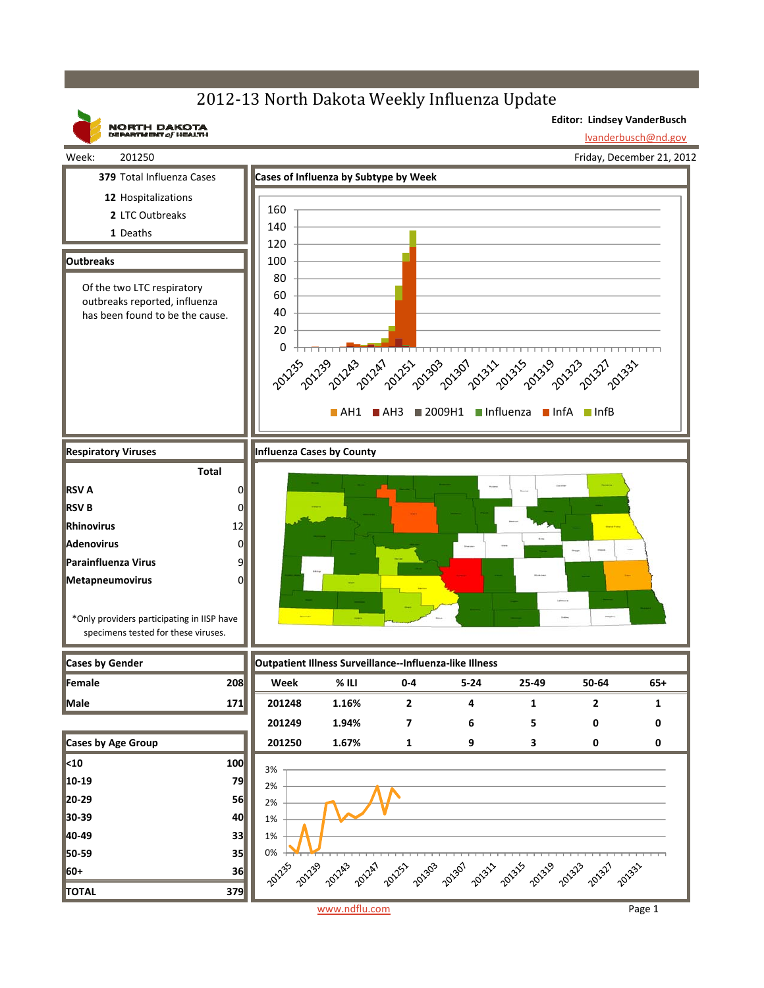## 2012-13 North Dakota Weekly Influenza Update



www.ndflu.com Page 1